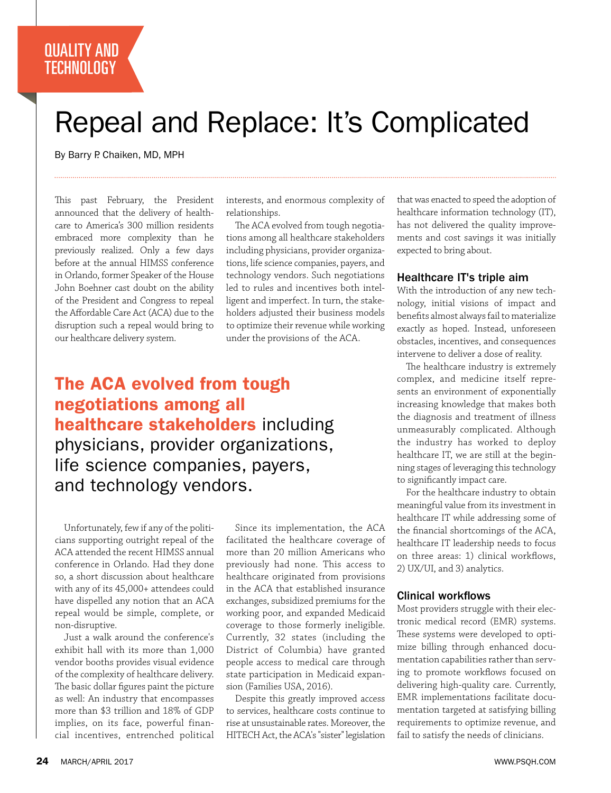### QUALITY AND **TECHNOLOGY**

# Repeal and Replace: It's Complicated

By Barry P. Chaiken, MD, MPH

This past February, the President announced that the delivery of healthcare to America's 300 million residents embraced more complexity than he previously realized. Only a few days before at the annual HIMSS conference in Orlando, former Speaker of the House John Boehner cast doubt on the ability of the President and Congress to repeal the Affordable Care Act (ACA) due to the disruption such a repeal would bring to our healthcare delivery system.

interests, and enormous complexity of relationships.

The ACA evolved from tough negotiations among all healthcare stakeholders including physicians, provider organizations, life science companies, payers, and technology vendors. Such negotiations led to rules and incentives both intelligent and imperfect. In turn, the stakeholders adjusted their business models to optimize their revenue while working under the provisions of the ACA.

The ACA evolved from tough negotiations among all healthcare stakeholders including physicians, provider organizations, life science companies, payers, and technology vendors.

Unfortunately, few if any of the politicians supporting outright repeal of the ACA attended the recent HIMSS annual conference in Orlando. Had they done so, a short discussion about healthcare with any of its 45,000+ attendees could have dispelled any notion that an ACA repeal would be simple, complete, or non-disruptive.

Just a walk around the conference's exhibit hall with its more than 1,000 vendor booths provides visual evidence of the complexity of healthcare delivery. The basic dollar figures paint the picture as well: An industry that encompasses more than \$3 trillion and 18% of GDP implies, on its face, powerful financial incentives, entrenched political

Since its implementation, the ACA facilitated the healthcare coverage of more than 20 million Americans who previously had none. This access to healthcare originated from provisions in the ACA that established insurance exchanges, subsidized premiums for the working poor, and expanded Medicaid coverage to those formerly ineligible. Currently, 32 states (including the District of Columbia) have granted people access to medical care through state participation in Medicaid expansion (Families USA, 2016).

Despite this greatly improved access to services, healthcare costs continue to rise at unsustainable rates. Moreover, the HITECH Act, the ACA's "sister" legislation

that was enacted to speed the adoption of healthcare information technology (IT), has not delivered the quality improvements and cost savings it was initially expected to bring about.

#### Healthcare IT's triple aim

With the introduction of any new technology, initial visions of impact and benefits almost always fail to materialize exactly as hoped. Instead, unforeseen obstacles, incentives, and consequences intervene to deliver a dose of reality.

The healthcare industry is extremely complex, and medicine itself represents an environment of exponentially increasing knowledge that makes both the diagnosis and treatment of illness unmeasurably complicated. Although the industry has worked to deploy healthcare IT, we are still at the beginning stages of leveraging this technology to significantly impact care.

For the healthcare industry to obtain meaningful value from its investment in healthcare IT while addressing some of the financial shortcomings of the ACA, healthcare IT leadership needs to focus on three areas: 1) clinical workflows, 2) UX/UI, and 3) analytics.

#### Clinical workflows

Most providers struggle with their electronic medical record (EMR) systems. These systems were developed to optimize billing through enhanced documentation capabilities rather than serving to promote workflows focused on delivering high-quality care. Currently, EMR implementations facilitate documentation targeted at satisfying billing requirements to optimize revenue, and fail to satisfy the needs of clinicians.